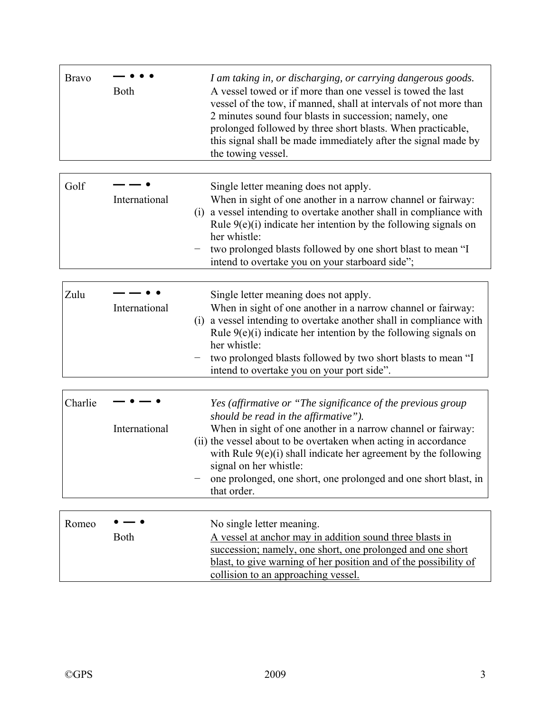| <b>Bravo</b> | <b>Both</b>          | I am taking in, or discharging, or carrying dangerous goods.<br>A vessel towed or if more than one vessel is towed the last<br>vessel of the tow, if manned, shall at intervals of not more than<br>2 minutes sound four blasts in succession; namely, one<br>prolonged followed by three short blasts. When practicable,<br>this signal shall be made immediately after the signal made by<br>the towing vessel.       |
|--------------|----------------------|-------------------------------------------------------------------------------------------------------------------------------------------------------------------------------------------------------------------------------------------------------------------------------------------------------------------------------------------------------------------------------------------------------------------------|
| Golf         | International<br>(1) | Single letter meaning does not apply.<br>When in sight of one another in a narrow channel or fairway:<br>a vessel intending to overtake another shall in compliance with<br>Rule $9(e)(i)$ indicate her intention by the following signals on<br>her whistle:<br>two prolonged blasts followed by one short blast to mean "I<br>intend to overtake you on your starboard side";                                         |
| Zulu         | International<br>(1) | Single letter meaning does not apply.<br>When in sight of one another in a narrow channel or fairway:<br>a vessel intending to overtake another shall in compliance with<br>Rule $9(e)(i)$ indicate her intention by the following signals on<br>her whistle:<br>two prolonged blasts followed by two short blasts to mean "I<br>intend to overtake you on your port side".                                             |
| Charlie      | International        | Yes (affirmative or "The significance of the previous group<br>should be read in the affirmative").<br>When in sight of one another in a narrow channel or fairway:<br>(ii) the vessel about to be overtaken when acting in accordance<br>with Rule $9(e)(i)$ shall indicate her agreement by the following<br>signal on her whistle:<br>one prolonged, one short, one prolonged and one short blast, in<br>that order. |
| Romeo        | <b>Both</b>          | No single letter meaning.<br>A vessel at anchor may in addition sound three blasts in<br>succession; namely, one short, one prolonged and one short<br>blast, to give warning of her position and of the possibility of<br>collision to an approaching vessel.                                                                                                                                                          |